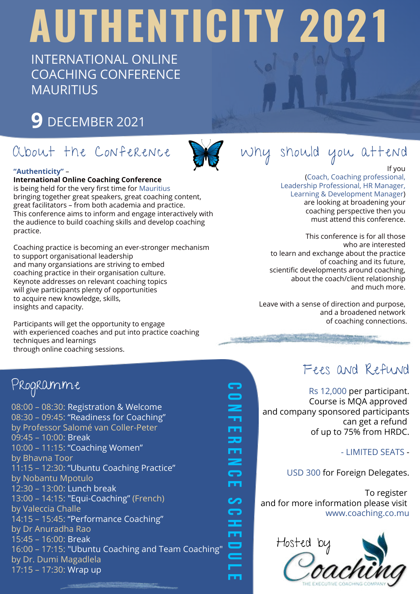# AUTHENTICITY 2021

INTERNATIONAL ONLINE COACHING CONFERENCE **MAURITIUS** 

### 9 DECEMBER 2021



C O N F E R E N C E

m 55 m ⋝ G m

G

S C H E D U L E

**COLOR** 

ဟ G Ŧ ш  $\blacksquare$ 

#### "Authenticity" –

International Online Coaching Conference

is being held for the very first time for Mauritius bringing together great speakers, great coaching content, great facilitators – from both academia and practice. This conference aims to inform and engage interactively with the audience to build coaching skills and develop coaching practice.

Coaching practice is becoming an ever-stronger mechanism to support organisational leadership and many organsiations are striving to embed coaching practice in their organisation culture. Keynote addresses on relevant coaching topics will give participants plenty of opportunities to acquire new knowledge, skills, insights and capacity.

Participants will get the opportunity to engage with experienced coaches and put into practice coaching techniques and learnings through online coaching sessions.



If you

(Coach, Coaching professional, Leadership Professional, HR Manager, Learning & Development Manager) are looking at broadening your coaching perspective then you must attend this conference.

This conference is for all those who are interested to learn and exchange about the practice of coaching and its future, scientific developments around coaching, about the coach/client relationship and much more.

Leave with a sense of direction and purpose, and a broadened network of coaching connections.

**Lewis Company of the Company of Company** 

#### Fees and Refund

Rs 12,000 per participant. Course is MQA approved and company sponsored participants can get a refund of up to 75% from HRDC.

- LIMITED SEATS -

USD 300 for Foreign Delegates.

To register and for more information please visit www.coaching.co.mu



#### Programme

08:00 – 08:30: Registration & Welcome 08:30 – 09:45: "Readiness for Coaching" by Professor Salomé van Coller-Peter 09:45 – 10:00: Break 10:00 – 11:15: "Coaching Women" by Bhavna Toor 11:15 – 12:30: "Ubuntu Coaching Practice" by Nobantu Mpotulo 12:30 – 13:00: Lunch break 13:00 – 14:15: "Equi-Coaching" (French) by Valeccia Challe 14:15 – 15:45: "Performance Coaching" by Dr Anuradha Rao 15:45 – 16:00: Break 16:00 – 17:15: "Ubuntu Coaching and Team Coaching" by Dr. Dumi Magadlela 17:15 – 17:30: Wrap up